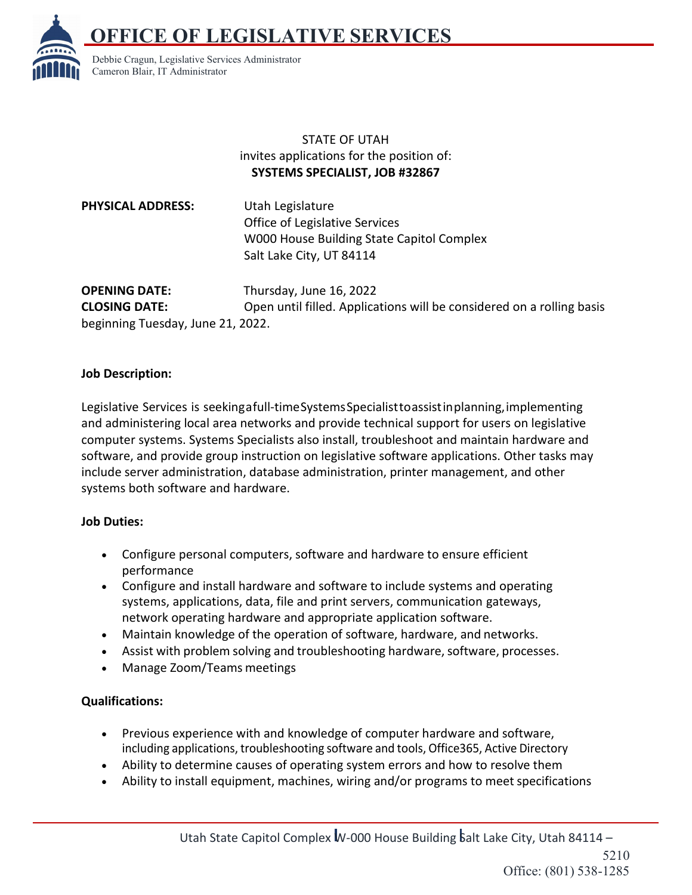**E OF LEGISLATIVE SERVICES** 



Debbie Cragun, Legislative Services Administrator Cameron Blair, IT Administrator

## STATE OF UTAH invites applications for the position of: **SYSTEMS SPECIALIST, JOB #32867**

**PHYSICAL ADDRESS:** Utah Legislature Office of Legislative Services W000 House Building State Capitol Complex Salt Lake City, UT 84114

beginning Tuesday, June 21, 2022.

**OPENING DATE:** Thursday, June 16, 2022 **CLOSING DATE:** Open until filled. Applications will be considered on a rolling basis

## **Job Description:**

Legislative Services is seekingafull-timeSystemsSpecialisttoassistinplanning,implementing and administering local area networks and provide technical support for users on legislative computer systems. Systems Specialists also install, troubleshoot and maintain hardware and software, and provide group instruction on legislative software applications. Other tasks may include server administration, database administration, printer management, and other systems both software and hardware.

## **Job Duties:**

- Configure personal computers, software and hardware to ensure efficient performance
- Configure and install hardware and software to include systems and operating systems, applications, data, file and print servers, communication gateways, network operating hardware and appropriate application software.
- Maintain knowledge of the operation of software, hardware, and networks.
- Assist with problem solving and troubleshooting hardware, software, processes.
- Manage Zoom/Teams meetings

## **Qualifications:**

- Previous experience with and knowledge of computer hardware and software, including applications, troubleshooting software and tools, Office365, Active Directory
- Ability to determine causes of operating system errors and how to resolve them
- Ability to install equipment, machines, wiring and/or programs to meet specifications